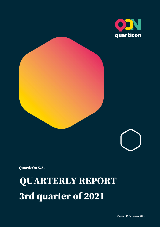





**QuarticOn S.A.**

**QUARTERLY REPORT 3rd quarter of 2021**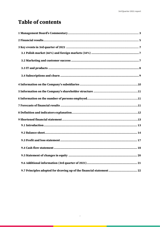# **Table of contents**

| 9.7 Principles adopted for drawing up of the financial statement  22 |
|----------------------------------------------------------------------|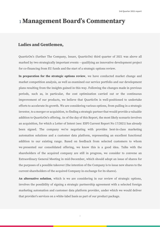## <span id="page-2-0"></span><sup>1</sup> **Management Board's Commentary**

### **Ladies and Gentlemen,**

QuarticOn's (further The Company, Issuer, QuarticOn) third quarter of 2021 was above all marked by two strategically important events – qualifying an innovative development project for co-financing from EU funds and the start of a strategic options review.

**In preparation for the strategic options review**, we have conducted market change and market competition analysis, as well as examined our service portfolio and our development plans resulting from the insights gained in this way. Following the changes made in previous periods, such as, in particular, the cost optimization carried out or the continuous improvement of our products, we believe that QuarticOn is well-positioned to undertake efforts to accelerate its growth. We are considering various options, from pulling in a strategic investor, to a merger or acquisition, to finding a strategic partner that would provide a valuable addition to QuarticOn's offering. As of the day of this Report, the most likely scenario involves an acquisition, for which a Letter of Intent (see: ESPI Current Report No 17/2021) has already been signed. The company we're negotiating with provides best-in-class marketing automation solutions and a customer data platform, representing an excellent functional addition to our existing range. Based on feedback from selected customers to whom we presented our consolidated offering, we know this is a good idea. Talks with the shareholders of the acquired company are still in progress, we consider to convene an Extraordinary General Meeting in mid-December, which should adopt an issue of shares for the purposes of a possible takeover (the intention of the Company is to issue new shares to the current shareholders of the acquired Company in exchange for its shares).

**An alternative solution**, which is we are considering in our review of strategic options, involves the possibility of signing a strategic partnership agreement with a selected foreign marketing automation and customer data platform provider, under which we would deliver that provider's services on a white-label basis as part of our product package.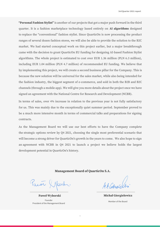**"Personal Fashion Stylist"** is another of our projects that got a major push forward in the third quarter. It is a fashion marketplace technology based entirely on **AI algorithms** designed to replace the "conventional" fashion stylist. Since QuarticOn is now processing the product ranges of several dozen fashion stores, we will also be able to provide the solution to the B2C market. We had started conceptual work on this project earlier, but a major breakthrough came with the decision to grant QuarticOn EU funding for designing AI-based Fashion Stylist algorithms. The whole project is estimated to cost over EUR 1.36 million (PLN 6.3 million), including EUR 1.04 million (PLN 4.7 million) of recommended EU funding. We believe that by implementing this project, we will create a second business pillar for the Company. This is because the new solution will be universal for the sales market, while also being intended for the fashion industry, the biggest segment of e-commerce, and sold in both the B2B and B2C channels (through a mobile app). We will give you more details about the project once we have signed an agreement with the National Centre for Research and Development (NCBR).

In terms of sales, over 4% increase in relation to the previous year is not fully satisfactory for us. This was mainly due to the exceptionally quiet summer period. September proved to be a much more intensive month in terms of commercial talks and preparations for signing contracts.

As the Management Board we will use our best efforts to have the Company complete the strategic options review by Q4 2021, choosing the single most preferential scenario that will become a strong driver for QuarticOn's growth in the years to come. We also hope to sign an agreement with NCBR in Q4 2021 to launch a project we believe holds the largest development potential in QuarticOn's history.

#### **Management Board of QuarticOn S.A.**

aior (bork

**Paweł Wyborski** Founder President of the Management Board

44 Copyrig

**Michał Giergielewicz** Member of the Board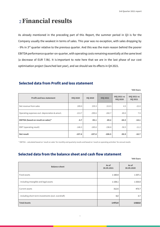# <span id="page-4-0"></span><sup>2</sup>**Financial results**

As already mentioned in the preceding part of this Report, the summer period in Q3 is for the Company usually the weakest in terms of sales. This year was no exception, with sales dropping by - 9% in 3<sup>rd</sup> quarter relative to the previous quarter. And this was the main reason behind the poorer EBITDA performance quarter-on-quarter, with operating costs remaining essentially at the same level (a decrease of EUR 7.9k). It is important to note here that we are in the last phase of our cost optimisation project (launched last year), and we should see its effects in Q4 2021.

### **Selected data from Profit and loss statement**

**'000 Euro**

| <b>Profit and loss statement</b>               | <b>IIIQ 2020</b> | <b>IIQ 2020</b> | <b>IIIQ 2021</b> | <b>IIIQ 2021 vs</b><br><b>IIIQ 2020</b> | <b>IIIQ 2021 vs</b><br><b>IIQ 2021</b> |
|------------------------------------------------|------------------|-----------------|------------------|-----------------------------------------|----------------------------------------|
| Net revenue from sales                         | 209.0            | 235.5           | 213.5            | 4.5                                     | $-22.0$                                |
| Operating expenses excl. depreciation & amort. | $-213.7$         | $-290.6$        | $-282.7$         | $-69.0$                                 | 7.9                                    |
| EBITDA (based on result on sales)*             | $-4.7$           | $-55.1$         | $-69.2$          | $-64.5$                                 | $-14.1$                                |
| EBIT (operating result)                        | $-146.3$         | $-185.6$        | $-196.8$         | $-50.5$                                 | $-11.2$                                |
| <b>Net result</b>                              | $-157.6$         | $-197.8$        | $-208.5$         | $-50.9$                                 | $-10.7$                                |

\* EBITDA – calculated based on 'result on sales' for monthly and quarterly results and based on 'result on operating activities' for annual results

### **Selected data from the balance sheet and cash flow statement**

| <b>Balance sheet</b>                                 | As of<br>30.09.2021 | As of<br>30.09.2020 |
|------------------------------------------------------|---------------------|---------------------|
| Fixed assets                                         | 1 1 6 0.8           | 1 3 3 7 . 1         |
| - including intangible and legal assets              | 1 1 5 8 . 1         | 1 3 3 3 . 0         |
| Current assets                                       | 312.6               | 473.7               |
| - including short-term investments (excl. overdraft) | 8,0                 | 3.7                 |
| <b>Total Assets</b>                                  | 1473.4              | 1810.8              |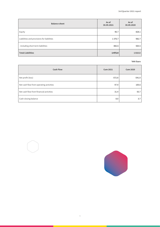| <b>Balance sheet</b>                       | As of<br>30.09.2021 | As of<br>30.09.2020 |
|--------------------------------------------|---------------------|---------------------|
| Equity                                     | 96.7                | 828.1               |
| Liabilities and provisions for liabilities | 1376.7              | 982.7               |
| - including short term liabilities         | 882.6               | 565.5               |
| <b>Total Liabilities</b>                   | 1473.4              | 1810.8              |

| <b>Cash Flow</b>                        | <b>Cum 2021</b> | <b>Cum 2020</b> |
|-----------------------------------------|-----------------|-----------------|
| Net profit (loss)                       | $-572.8$        | $-541.0$        |
| Net cash flow from operating activities | 97.9            | 105.6           |
| Net cash flow from financial activities | 31.4            | 55.7            |
| Cash closing balance                    | 8.0             | 3.7             |

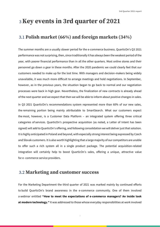# <span id="page-6-0"></span><sup>3</sup>**Key events in 3rd quarter of 2021**

### <span id="page-6-1"></span>3.1 **Polish market (66%) and foreign markets (34%)**

The summer months are a usually slower period for the e-commerce business. QuarticOn's Q3 2021 performance was not surprising, then, since traditionally it has always been the weakest period of the year, with poorer financial performance than in all the other quarters. Most online stores and their personnel go down a gear in these months. After the 2020 pandemic we could clearly feel that our customers needed to make up for the lost time. With managers and decision-makers being widely unavailable, it was much more difficult to arrange meetings and hold negotiations. In September, however, as in the previous years, the situation began to go back to normal and our negotiation processes were back in high gear. Nevertheless, the finalization of new contracts is already ahead of the next quarter and we expect that then we will be able to inform about positive changes in sales.

In Q3 2021 QuarticOn's recommendations system represented more than 60% of our new sales, the remaining portion being mainly attributable to SmartSearch. What our customers expect the most, however, is a Customer Data Platform – an integrated system offering three critical categories of services. QuarticOn's prospective acquisition (as noted, a Letter of Intent has been signed) will add to QuarticOn's offering, and following consolidation we will deliver just that solution. It is highly anticipated in Poland and beyond, with especially strong interest being expressed by Czech and Slovak customers. It is also worth highlighting that a large majority of our competitors are unable to offer such a rich system all in a single product package. The potential acquisition-related integration will certainly help to boost QuarticOn's sales, offering a unique, attractive value for e- commerce service providers.

### <span id="page-6-2"></span>3.2 **Marketing and customer success**

For the Marketing Department the third quarter of 2021 was marked mainly by continued efforts to build QuarticOn's brand awareness in the e-commerce community. One of them involved a webinar entitled **"How to meet the expectations of e-commerce managers? An inside look at modern technology."** It was addressed to those whose everyday responsibilities at work involved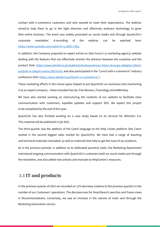contact with e-commerce customers and who wanted to meet their expectations. The webinar aimed to help them to go in the right direction and effectively embrace technology to grow their online business. The event was widely promoted on social media and through QuarticOn's corporate newsletter. A recording of the webinar can be watched here: [https://www.youtube.com/watch?v=u-jdZG-C4Gc.](https://www.youtube.com/watch?v=u-jdZG-C4Gc)

In addition, the Company prepared an expert article on Ideo Force's (a marketing agency) website dealing with the features that can effectively shorten the distance between the customer and the product (link: [https://www.ideoforce.pl/akademia/funkcjonalnosci-ktore-skracaja-odleglosc-klient](https://www.ideoforce.pl/akademia/funkcjonalnosci-ktore-skracaja-odleglosc-klient-produkt-w-sklepie-online,598.html)[produkt-w-sklepie-online,598.html](https://www.ideoforce.pl/akademia/funkcjonalnosci-ktore-skracaja-odleglosc-klient-produkt-w-sklepie-online,598.html)), and also participated in the "Lunch with e-commerce" industry conference (link[: https://www.ideoforce.pl/lunch-z-e-commerce/](https://www.ideoforce.pl/lunch-z-e-commerce/) ).

These marketing efforts in the virtual space helped to put QuarticOn on numerous lists mentioning it as an expert company – these included lists by: Puls Biznesu, Futurology and AdMonkey.

We have also started working on restructuring the contents of our website to facilitate clear communication with customers, expedite updates and support SEO. We expect this project to be completed by the end of this year.

QuarticOn has also finished working on a case study based on its services for Wittchen S.A. This material will be published in Q4 2021.

The third quarter saw the addition of the Czech language to the Help Center platform (the Czech market is the second biggest sales market for QuarticOn). We have had a range of teaching and technical materials translated, as well as materials that help to get the most of our products.

As in the previous periods, in addition to its dedicated quarterly tasks, the Marketing Department maintained ongoing communication with QuarticOn's customers both on social media and through the newsletter, and also added new articles and manuals to HelpCenter's resources.

### <span id="page-7-0"></span>3.3 **IT and products**

In the previous quarter of 2021 we recorded an 11% decrease (relative to the previous quarter) in the number of our Customers' operations. The decrease was for SmartSearch searches and frame views in Recommendations. Conversely, we saw an increase in the volume of mails sent through the Marketing Automation service.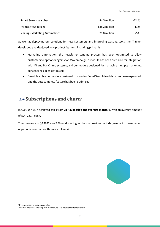| Smart Search searches:          | 44.5 million  | $-22^{10}$ % |
|---------------------------------|---------------|--------------|
| Frames view in Reko:            | 838.2 million | -11%         |
| Mailing - Marketing Automation: | 28.8 million  | +25%         |

As well as deploying our solutions for new Customers and improving existing tools, the IT team developed and deployed new product features, including primarily:

- Marketing automation: the newsletter sending process has been optimised to allow customers to opt for or against an MA campaign, a module has been prepared for integration with IAI and MailChimp systems, and our module designed for managing multiple marketing consents has been optimised.
- SmartSearch our module designed to monitor SmartSearch feed data has been expanded, and the autocomplete feature has been optimised.

## <span id="page-8-0"></span>3.4 **Subscriptions and churn<sup>2</sup>**

In Q3 QuarticOn achieved sales from **317 subscriptions average monthly**, with an average amount of EUR 220.7 each.

The churn rate in Q3 2021 was 2.3% and was higher than in previous periods (an effect of termination of periodic contracts with several clients).



<sup>&</sup>lt;sup>1</sup> In comparison to previous quarter

<sup>&</sup>lt;sup>2</sup> Churn - indicator showing loss of revenues as a result of customers churn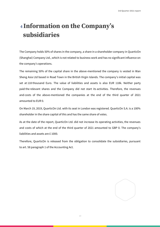# <span id="page-9-0"></span><sup>4</sup> **Information on the Company's subsidiaries**

The Company holds 50% of shares in the company, a share in a shareholder company in QuarticOn (Shanghai) Company Ltd., which is not related to business work and has no significant influence on the company's operations.

The remaining 50% of the capital share in the above-mentioned the company is vested in Wan Sheng Asia Ltd based in Road Town in the British Virgin Islands. The company's initial capital was set at 118 thousand Euro. The value of liabilities and assets is also EUR 118k. Neither party paid the relevant shares and the Company did not start its activities. Therefore, the revenues and costs of the above-mentioned the companies at the end of the third quarter of 2021 amounted to EUR 0.

On March 19, 2019, QuarticOn Ltd. with its seat in London was registered. QuarticOn S.A. is a 100% shareholder in the share capital of this and has the same share of votes.

As at the date of the report, QuarticOn Ltd. did not increase its operating activities, the revenues and costs of which at the end of the third quarter of 2021 amounted to GBP 0. The company's liabilities and assets are £ 1000.

Therefore, QuarticOn is released from the obligation to consolidate the subsidiaries, pursuant to art. 58 paragraph 1 of the Accounting Act.

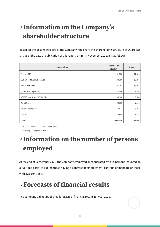# <span id="page-10-0"></span><sup>5</sup> **Information on the Company's shareholder structure**

Based on the best knowledge of the Company, the share the shareholding structure of QuarticOn S.A. as of the date of publication of this report, on 15'th November 2021, it is as follows:

| Shareholder                      | Number of<br>stocks* | <b>Share</b> |
|----------------------------------|----------------------|--------------|
| Venture FIZ                      | 251 000              | 17.9%        |
| CBNC Capital Solutions Ltd.      | 180 000              | 12.8%        |
| Paweł Wyborski                   | 185 261              | 13.2%        |
| Q Free Trading Limited           | 123 500              | 8.8%         |
| <b>ACATIS Investment KVG mbH</b> | 134 100              | 9.5%         |
| Kamil Cisło                      | 100 000              | 7.1%         |
| Paulina Zamojska                 | 70574                | 5.0%         |
| Others **                        | 359 865              | 25.6%        |
| <b>Total</b>                     | 1404300              | 100.0%       |

\* including class A, B, C, D, E and F share series

\*\* including key employees (ESOP)

# <span id="page-10-1"></span><sup>6</sup> **Information on the number of persons employed**

At the end of September 2021, the Company employed or cooperated with 25 persons (counted on a full-time basis) including those having a contract of employment, contract of mandate or those with B2B contracts.

**11**

# <span id="page-10-2"></span><sup>7</sup> **Forecasts of financial results**

The company did not published forecasts of financial results for year 2021.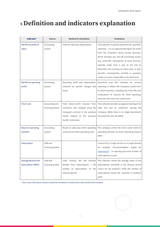# <span id="page-11-0"></span><sup>8</sup> **Definition and indicators explanation**

| Indicator*                                        | <b>Source</b>                      | <b>Method of calculation</b>                                                                                                                                      | <b>Usefulness</b>                                                                                                                                                                                                                                                                                                                                                                                                                                        |
|---------------------------------------------------|------------------------------------|-------------------------------------------------------------------------------------------------------------------------------------------------------------------|----------------------------------------------------------------------------------------------------------------------------------------------------------------------------------------------------------------------------------------------------------------------------------------------------------------------------------------------------------------------------------------------------------------------------------------------------------|
| EBITDA (as profit on<br>sales)                    | Accounting<br>system               | Profit on sales plus depreciation                                                                                                                                 | This indicator is used by QuarticOn for quarterly<br>reporting - it is an approximate figure for profit<br>from the Company's direct current business,<br>which excludes any one-off accounting events<br>(e.g. write-offs, revaluations of some reserves,<br>typically made once a year at the end of<br>December and covering an entire year, or past<br>periods). Consequently, monthly or quarterly<br>results are more comparable in the short term |
| <b>EBITDA</b> (as operating<br>profit)            | Accounting<br>system               | Operating profit plus depreciation<br>(reduced by interest charges and<br>taxes)                                                                                  | QuarticOn uses this indicator for annual<br>reporting. It reflects the Company's profit from<br>its direct business, including any write-offs and<br>revaluations of reserves for other operating<br>revenues and costs over a given year                                                                                                                                                                                                                |
| Churn rate                                        | Accounting and<br>invoicing system | Total latest-month revenue from<br>customers who stopped using the<br>Company's services in the previous<br>month relative to the previous<br>month's total sales | This indicator provides an approximate figure for<br>sales lost due to customers' leaving the<br>Company. While there is no single benchmark,<br>the lower the rate, the better                                                                                                                                                                                                                                                                          |
| Result on operating<br>activities                 | Accounting<br>system               | Result on sales plus other operating<br>revenues less other operating costs                                                                                       | The company unifies the terms used: result on<br>operating activities (in short: operating result or<br>EBIT)                                                                                                                                                                                                                                                                                                                                            |
| Subscription                                      | CRM and<br>invoicing system        |                                                                                                                                                                   | Contract for a single service on a single domain<br>for example "recommendation engine for<br>www.test.pl" . In reporting the total number of<br>subscriptions is used.                                                                                                                                                                                                                                                                                  |
| Average Revenue Per<br><b>Subscription (ARPS)</b> | CRM and<br>invoicing system        | Total revenue (for the relevant<br>period) from subscriptions / the<br>number of subscriptions (in the<br>relevant period)                                        | This indicator shows the average value of one<br>subscriptions (monthly) in the relevant period<br>("price for the product") while the number of<br>subscriptions shows the "quantity of products"<br>sold".                                                                                                                                                                                                                                             |

\* Note: none of the above indicators should be considered in isolation from other results of the Company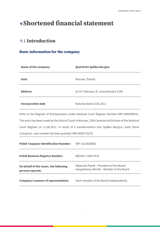# <span id="page-12-0"></span>**<sup>9</sup> Shortened financial statement**

## <span id="page-12-1"></span>9.1 **Introduction**

### **Basic information for the company**

| <b>Name of the company:</b>                            | QuarticOn Spółka Akcyjna                                                                          |
|--------------------------------------------------------|---------------------------------------------------------------------------------------------------|
| Seat:                                                  | Warsaw, Poland                                                                                    |
| <b>Address:</b>                                        | 02-017 Warsaw, Al. Jerozolimskie 123A                                                             |
| <b>Incorporation date</b>                              | Notarial deed 13.05.2011                                                                          |
|                                                        | Entry to the Register of Entrepreneurs under National Court Register Number KRS 0000389015.       |
|                                                        | The entry has been made by the District Court in Warsaw, 12th Commercial Division of the National |
|                                                        | Court Register on 11.06.2011. In result of a transformation into Spółka Akcyjna (Joint Stock      |
| Company), new number has been granted: KRS 0000715276. |                                                                                                   |
| <b>Polish Taxpayer Identification Number:</b>          | NIP: 5213608082                                                                                   |
| <b>Polish Business Registry Number:</b>                | REGON: 142977414                                                                                  |

| On behalf of the Issuer, the following | Wyborski Paweł – President of the Board    |
|----------------------------------------|--------------------------------------------|
| persons operate:                       | Giergielewicz Michał – Member of the Board |
| Company's manner of representation:    | Each member of the Board independently     |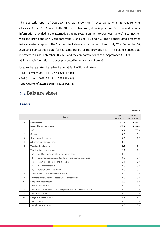**'000 Euro**

This quarterly report of QuarticOn S.A. was drawn up in accordance with the requirements of § 5 sec. 1 point 1 of Annex 3 to the Alternative Trading System Regulations - "Current and periodic information provided in the alternative trading system on the NewConnect market" in connection with the provisions of § 5 subparagraph 3 and sec. 4.1 and 4.2. The financial data presented in this quarterly report of the Company includes data for the period from July  $1<sup>st</sup>$  to September 30, 2021 and comparative data for the same period of the previous year. The balance sheet data is presented as at September 30, 2021, and the comparative data as at September 30, 2020. All financial information has been presented in thousands of Euro  $(\epsilon)$ .

Used exchange rates (based on National Bank of Poland rates):

- 3rd Quarter of 2021: 1 EUR = 4.6329 PLN (zł),
- 3rd Quarter of 2020: 1 EUR = 4.5268 PLN (zł),
- 2nd Quarter of 2021: 1 EUR = 4.5208 PLN (zł),

### <span id="page-13-0"></span>9.2 **Balance sheet**

### **Assets**

|                  |                     | <b>Items</b>                                                      | As of<br>30.09.2021 | As of<br>30.09.2020 |
|------------------|---------------------|-------------------------------------------------------------------|---------------------|---------------------|
| Α.               | <b>Fixed assets</b> |                                                                   | 1 1 60.8            | 1337.1              |
| ı.               |                     | Intangible and legal assets                                       | 1158.1              | 1333.0              |
| 1.               |                     | R&D expenses                                                      | 1 1 58.1            | 1 3 3 0 . 3         |
| 2.               | Goodwill            |                                                                   | 0,0                 | 0,0                 |
| 3.               |                     | Other intangible assets                                           | 0,0                 | 2.7                 |
| 4.               |                     | Advances for intangible assets                                    | 0,0                 | 0,0                 |
| Ш.               |                     | <b>Tangible fixed assets</b>                                      | 1.7                 | 2.9                 |
| 1.               |                     | Tangible fixed assets in use                                      | 1.7                 | 2.9                 |
|                  | a)                  | land (including right to perpetual usufruct)                      | 0.0                 | 0.0                 |
|                  | b)                  | buildings. premises. civil and water engineering structures       | 0.0                 | 0.0                 |
|                  | $\mathsf{C}$        | technical equipment and machines                                  | 1.7                 | 2.9                 |
|                  | d)                  | means of transport                                                | 0.0                 | 0.0                 |
|                  | e)                  | other tangible fixed assets                                       | 0.0                 | 0.1                 |
| 2.               |                     | Tangible fixed assets under construction                          | 0.0                 | 0.0                 |
| 3.               |                     | Advances for tangible fixed assets under construction             | 0.0                 | 0.0                 |
| III.             |                     | Long-term receivables                                             | 0.0                 | 0.0                 |
| 1.               |                     | From related parties                                              | 0.0                 | 0.0                 |
| $\overline{2}$ . |                     | From other parties. in which the company holds capital commitment |                     | 0.0                 |
| 3.               |                     | From other parties                                                |                     | 0.0                 |
| IV.              |                     | <b>Long-term investments</b>                                      |                     | 1.1                 |
| 1.               |                     | Real property                                                     | 0.0                 | 0.0                 |
| 2.               |                     | Intangible and legal assets                                       | 0.0                 | 0.0                 |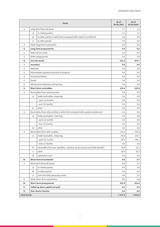|                     |              | <b>Items</b>                                                                  | As of<br>30.09.2021 | As of<br>30.09.2020 |
|---------------------|--------------|-------------------------------------------------------------------------------|---------------------|---------------------|
| 3.                  |              | Long-term financial assets                                                    | 1.1                 | 1.1                 |
|                     | a)           | in related parties                                                            | 1.1                 | 1.1                 |
|                     | b)           | in other parties, in which the company holds capital commitment               | 0.0                 | 0.0                 |
|                     | $\mathsf{C}$ | in other parties                                                              | 0.0                 | 0.0                 |
| 4.                  |              | Other long-term investments                                                   | 0.0                 | 0.0                 |
| v.                  |              | <b>Long-term prepayments</b>                                                  | 0.0                 | 0.0                 |
| 1.                  |              | Deferred tax assets                                                           | 0.0                 | 0.0                 |
| 2.                  |              | Other prepayments                                                             | 0.0                 | 0.0                 |
| в.                  |              | <b>Current assets</b>                                                         | 312.6               | 473.7               |
| Ι.                  | Inventory    |                                                                               | 0.0                 | 0.0                 |
| 1.                  | Materials    |                                                                               | 0.0                 | 0.0                 |
| 2.                  |              | Intermediate products and work in progress                                    | 0.0                 | 0.0                 |
| 3.                  |              | Finished products                                                             | 0.0                 | 0.0                 |
| 4.                  | Goods        |                                                                               | 0.0                 | 0.0                 |
| 5.                  |              | Advances for deliveries and services                                          | 0.0                 | 0.0                 |
| н.                  |              | <b>Short-term receivables</b>                                                 | 151.6               | 155.4               |
| 1.                  |              | Receivables from related parties                                              | 0.0                 | 0.0                 |
|                     | a)           | trade receivables. maturing:                                                  | 0.0                 | 0.0                 |
|                     |              | - up to 12 months                                                             | 0.0                 | 0.0                 |
|                     |              | - over 12 months                                                              | 0.0                 | 0.0                 |
|                     | b)           | other                                                                         | 0.0                 | 0.0                 |
| 2.                  |              | Receivables from other entities in which the company holds capital commitment | 0.0                 | 0.0                 |
|                     | a)           | trade receivables. maturing:                                                  | 0.0                 | 0.0                 |
|                     |              | - up to 12 months                                                             | 0.0                 | 0.0                 |
|                     |              | - over 12 months                                                              | 0.0                 | 0.0                 |
|                     | b)           | other                                                                         | 0.0                 | 0.0                 |
| 3.                  |              | Receivables from other entities                                               | 151.6               | 155.4               |
|                     | a)           | trade receivables. maturing:                                                  | 80.3                | 102.1               |
|                     |              | - up to 12 months                                                             | 80.3                | 102.1               |
|                     |              | - over 12 months                                                              | 0.0                 | 0.0                 |
|                     | b)           | receivables from tax. subsidies. customs. social security and other benefits  | 34.9                | 21.1                |
|                     | c)           | other                                                                         | 36.4                | 32.3                |
|                     | d)           | claimed at court                                                              | 0.0                 | 0.0                 |
| Ш.                  |              | <b>Short-term investments</b>                                                 | 8.0                 | 3.7                 |
| 1.                  |              | Short-term financial assets                                                   | 8.0                 | 3.7                 |
|                     | a)           | in related parties                                                            | 0.0                 | 0.0                 |
|                     | b)           | in other parties                                                              | 0.0                 | 0.0                 |
|                     | $\mathsf{C}$ | cash and other pecuniary assets                                               | 8.0                 | 3.7                 |
| 2.                  |              | Other short-term investments                                                  | 0.0                 | 0.0                 |
| IV.                 |              | <b>Short-term prepayments</b>                                                 | 152.9               | 314.6               |
| c.                  |              | Called up share capital not paid                                              | 0.0                 | 0.0                 |
| D.                  |              | Own shares (stocks)                                                           | 0.0                 | 0.0                 |
| <b>Total Assets</b> |              |                                                                               | 1473.4              | 1810.8              |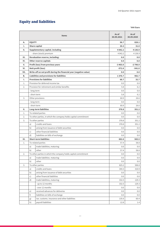### **Equity and liabilities**

|      |                                   | <b>Items</b>                                                       | As of<br>30.09.2021 | As of<br>30.09.2020 |
|------|-----------------------------------|--------------------------------------------------------------------|---------------------|---------------------|
| Α.   | <b>EQUITY</b>                     |                                                                    | 96.7                | 828.1               |
| ı.   |                                   | <b>Share capital</b>                                               | 30.3                | 31.0                |
| Ш.   |                                   | Supplementary capital. including                                   | 4 042.2             | 4 1 3 6 . 9         |
|      |                                   | - share (stock) premium                                            | 4042.2              | 4 1 3 6 .9          |
| III. |                                   | Revaluation reserve, including:                                    | 0.0                 | 0.0                 |
| IV.  |                                   | Other reserve capitals                                             | 0.0                 | 0.0                 |
| v.   | Profit (loss) from previous years |                                                                    | $-3403.0$           | $-2798.9$           |
| VI.  |                                   | Nett profit (loss)                                                 | $-572.8$            | $-541.0$            |
| VII. |                                   | Write-off on net profit during the financial year (negative value) | 0.0                 | 0.0                 |
| в.   |                                   | <b>Liabilities and provisions for liabilities</b>                  | 1376.7              | 982.7               |
| Ι.   |                                   | <b>Provisions for liabilities</b>                                  | 66.7                | 32.7                |
| 1.   |                                   | Provision for deferred income tax                                  | 0.0                 | 0.0                 |
| 2.   |                                   | Provision for retirement and similar benefits                      | 5.8                 | 6.2                 |
|      | - long-term                       |                                                                    | 0.0                 | 0.0                 |
|      | - short-term                      |                                                                    | 5.8                 | 6.2                 |
| 3.   |                                   | Other provisions                                                   | 60.9                | 26.6                |
|      | - long-term                       |                                                                    | 0.0                 | 0.0                 |
|      | - short-term                      |                                                                    | 60.9                | 26.6                |
| н.   |                                   | <b>Long-term liabilities</b>                                       | 378.8               | 351.2               |
| 1.   |                                   | To related parties                                                 | 0.0                 | 0.0                 |
| 2.   |                                   | To other parties, in which the company holds capital commitment    | 0.0                 | 0.0                 |
| 3.   |                                   | To other parties                                                   | 378.8               | 351.2               |
|      | a)                                | credits and loans                                                  | 378.8               | 351.2               |
|      | b)                                | arising from issuance of debt securities                           | 0.0                 | 0.0                 |
|      | $\mathsf{C}$ )                    | other financial liabilities                                        | 0.0                 | 0.0                 |
|      | d)                                | liabilities on bills of exchange                                   | 0.0                 | 0.0                 |
| III. |                                   | <b>Short-term liabilities</b>                                      | 882.6               | 565.5               |
| 1.   |                                   | To related parties                                                 | 57.4                | 58.8                |
|      | a)                                | trade liabilities, maturing:                                       | 0.0                 | 0.0                 |
|      | b)                                | other                                                              | 57.4                | 58.8                |
| 2.   |                                   | To other parties in which the company holds capital commitment     | 0.0                 | 0.0                 |
|      | a)                                | trade liabilities. maturing:                                       | 0.0                 | 0.0                 |
|      | b)                                | other                                                              | 0.0                 | 0.0                 |
| 3.   |                                   | To other parties                                                   | 825.2               | 506.8               |
|      | a)                                | credits and loans                                                  | 344.3               | 310.9               |
|      | b)                                | arising from issuance of debt securities                           | 0.0                 | 0.0                 |
|      | $\mathsf{C}$                      | other financial liabilities                                        | 0.0                 | 0.0                 |
|      | d)                                | trade liabilities, maturing:                                       | 332.5               | 129.3               |
|      |                                   | - up to 12 months                                                  | 332.5               | 129.3               |
|      |                                   | - over 12 months                                                   | 0.0                 | 0.0                 |
|      | e)                                | received advances for deliveries                                   | 0.0                 | 0.0                 |
|      | f)                                | liabilities on bills of exchange                                   | 0.0                 | 0.0                 |
|      | g)                                | tax. customs. insurance and other liabilities                      | 135.6               | 60.4                |
|      | h)                                | payroll liabilities                                                | 12.8                | 1.4                 |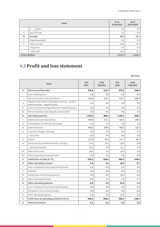|                          |                 | <b>Items</b>      | As of<br>30.09.2021 | As of<br>30.09.2020 |
|--------------------------|-----------------|-------------------|---------------------|---------------------|
|                          | i)              | other             | 0.0                 | 4.8                 |
| 4.                       |                 | Special funds     | 0.0                 | 0.0                 |
| IV.                      | <b>Accruals</b> |                   | 48.6                | 33.2                |
| 1.                       |                 | Negative goodwill | 0.0                 | 0.0                 |
| 2.                       | Other accruals  |                   | 48.6                | 33.2                |
|                          | - long-term     |                   | 0.0                 | 0.0                 |
|                          | - short-term    |                   | 48.6                | 33.2                |
| <b>Total Liabilities</b> |                 |                   | 1473.4              | 1810.8              |

## <span id="page-16-0"></span>9.3 **Profit and loss statement**

|              | <b>Items</b>                                                                                | <b>YTD</b><br>2021 | Only<br><b>IIIQ 2021</b> | <b>YTD</b><br>2020 | Only<br><b>IIIQ 2020</b> |
|--------------|---------------------------------------------------------------------------------------------|--------------------|--------------------------|--------------------|--------------------------|
| А.           | Net revenue from sales                                                                      | 678.8              | 213.5                    | 679.2              | 209.0                    |
|              | from related parties                                                                        | 0.0                | 0.0                      | 0.0                | 0.0                      |
| $\mathsf{L}$ | Net revenue from sales of products                                                          | 678.8              | 213.5                    | 679.2              | 209.0                    |
| II.          | Change in the balance of products (increase - positive<br>value, decrease - negative value) | 0.0                | 0.0                      | 0.0                | 0.0                      |
| III.         | Costs of manufacturing products for internal purposes                                       | 0.0                | 0.0                      | 0.0                | 0.0                      |
| IV.          | Net revenue from sales of goods and materials                                               | 0.0                | 0.0                      | 0.0                | 0.0                      |
| В.           | <b>Operating expenses</b>                                                                   | 1 2 1 4 .0         | 409.9                    | 1 1 8 4 . 6        | 354.6                    |
| $\mathbf{L}$ | Amortisation and depreciation                                                               | 383.0              | 127.2                    | 429.1              | 140.9                    |
| ΙΙ.          | Consumption of materials and energy                                                         | 3.3                | 1.0                      | 5.2                | 1.0                      |
| III.         | <b>External services</b>                                                                    | 498.5              | 169.8                    | 482.5              | 132.5                    |
| IV.          | Taxes and charges, including:                                                               | 8.9                | 2.4                      | 5.8                | 2.1                      |
|              | - excise duty                                                                               | 0.0                | 0.0                      | 0.0                | 0.0                      |
| V.           | Payroll                                                                                     | 272.4              | 92.5                     | 225.7              | 66.7                     |
| VI.          | Social security and other benefits, including:                                              | 37.3               | 13.1                     | 23.9               | 8.4                      |
|              | - retirement benefits                                                                       | 21.2               | 7.4                      | 18.1               | 5.4                      |
| VII.         | Other prime costs                                                                           | 10.5               | 3.9                      | 12.3               | 3.0                      |
| VIII.        | Value of goods and materials sold                                                           | 0,0                | 0.0                      | 0.0                | 0.0                      |
| C.           | Profit (loss) on sales (A - B)                                                              | $-535.2$           | $-196.4$                 | $-505.4$           | $-145.6$                 |
| D.           | <b>Other operating revenues</b>                                                             | 0.4                | 0.1                      | 18.6               | 0.7                      |
| Ι.           | Gain on disposal of non-financial fixed assets                                              | 0.0                | 0.0                      | 0.2                | 0.0                      |
| ΙΙ.          | <b>Subsidies</b>                                                                            | 0.0                | 0.0                      | 0.0                | 0.0                      |
| III.         | Revaluation of non-financial assets                                                         | 0.0                | 0.0                      | 16.4               | 0.0                      |
| IV.          | Other operating revenues                                                                    | 0.4                | 0.1                      | 1.9                | 0.7                      |
| Е.           | <b>Other operating expenses</b>                                                             | 0.9                | 0.5                      | 21.4               | 1.4                      |
| Ι.           | Loss on disposal of non-financial fixed assets                                              | 0.0                | 0.0                      | 0.0                | 0.0                      |
| ΙΙ.          | Revaluation of non-financial assets                                                         | 0.0                | 0.0                      | 0.0                | 0.0                      |
| III.         | Other operating expenses                                                                    | 0.9                | 0.5                      | 21.4               | 1.4                      |
| F.           | Profit (loss) on operating activities (C+D-E)                                               | $-535.6$           | $-196.8$                 | $-508.2$           | $-146.3$                 |
| G.           | <b>Financial revenues</b>                                                                   | 0.1                | 0.1                      | 2.5                | 2.6                      |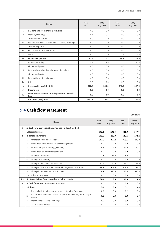|                 | <b>Items</b>                                                | <b>YTD</b><br>2021 | Only<br><b>IIIQ 2021</b> | <b>YTD</b><br>2020 | Only<br><b>IIIQ 2020</b> |
|-----------------|-------------------------------------------------------------|--------------------|--------------------------|--------------------|--------------------------|
| $\mathsf{L}$    | Dividend and profit sharing, including:                     | 0.0                | 0.0                      | 0.0                | 0.0                      |
| $\mathbf{II}$ . | Interest, including:                                        | 0.1                | 0.1                      | 0.0                | 0.0                      |
|                 | - from related parties                                      | 0.0                | 0.0                      | 0.0                | 0.0                      |
| III.            | Revenue from disposal of financial assets, including:       | 0.0                | 0.0                      | 0.0                | 0.0                      |
|                 | - in related parties                                        | 0.0                | 0.0                      | 0.0                | 0.0                      |
| IV.             | Revaluation of financial assets                             | 0.0                | 0.0                      | 0.0                | 0.0                      |
| V.              | Other                                                       | 0.0                | 0.0                      | 2.5                | 2.6                      |
| н.              | <b>Financial expenses</b>                                   | 37.2               | 11.8                     | 35.3               | 13.9                     |
| $\mathsf{L}$    | Interest, including:                                        | 29.3               | 7.4                      | 32.0               | 10.8                     |
|                 | - for related parties                                       | 0.0                | 0.0                      | 0.0                | 0.0                      |
| $\mathbf{II}$ . | Loss on disposal of financial assets, including:            | 0.0                | 0.0                      | 0.0                | 0.0                      |
|                 | - for related parties                                       | 0.0                | 0.0                      | 0.0                | 0.0                      |
| III.            | Revaluation of financial assets                             | 0.0                | 0.0                      | 0.0                | 0.0                      |
| IV.             | Other                                                       | 7.9                | 4.4                      | 3.3                | 3.0                      |
| ı.              | Gross profit (loss) (F+G-H)                                 | $-572.8$           | $-208.5$                 | $-541.0$           | $-157.6$                 |
| J.              | Income tax                                                  | 0.0                | 0.0                      | 0.0                | 0.0                      |
| Κ.              | Other statutory reductions in profit (increases in<br>loss) | 0.0                | 0.0                      | 0.0                | 0.0                      |
| L.              | Net profit (loss) (I-J-K)                                   | $-572.8$           | $-208.5$                 | $-541.0$           | $-157.6$                 |

### <span id="page-17-0"></span>9.4 **Cash flow statement**

|           |                      | <b>Items</b>                                                                   | <b>YTD</b><br>2021 | Only<br><b>IIIQ 2021</b> | <b>YTD</b><br>2020 | Only<br><b>IIIQ 2020</b> |
|-----------|----------------------|--------------------------------------------------------------------------------|--------------------|--------------------------|--------------------|--------------------------|
| А.        |                      | A. Cash flow from operating activities - indirect method                       |                    |                          |                    |                          |
| ı.        | I. Net profit (loss) |                                                                                | $-572.8$           | $-208.5$                 | $-541.0$           | $-157.6$                 |
| н.        |                      | II. Total adjustments                                                          | 670.6              | 216.9                    | 646.6              | 172.2                    |
|           | 1.                   | Amortisation and depreciation                                                  | 383.0              | 127.2                    | 429.1              | 140.9                    |
|           | 2.                   | Profit (loss) from differences of exchange rates                               | 0.0                | 0.0                      | 0.0                | 0.0                      |
|           | 3.                   | Interest and profit sharing (dividend)                                         | 28.2               | 7.2                      | 30.9               | 10.3                     |
|           | 4.                   | Profit (loss) on investment activities                                         | 0.0                | 0.0                      | $-0.2$             | 0.0                      |
|           | 5.                   | Change in provisions                                                           | 22.4               | 16.8                     | $-5.9$             | 0.3                      |
|           | 6.                   | Changes in inventory                                                           | 0.0                | 0.0                      | 0.0                | 0.0                      |
|           | $\overline{7}$ .     | Change in the balance of receivables                                           | $-32.1$            | $-20.5$                  | 65.7               | 15.0                     |
|           | 8.                   | Change in short-term liabilities excluding credits and loans                   | 244.8              | 106.6                    | 106.2              | 26.3                     |
|           | 9.                   | Change in prepayments and accruals                                             | 24.4               | $-20.4$                  | 20.9               | $-20.5$                  |
|           | 10.                  | Other adjustments                                                              | 0.0                | 0.0                      | 0.0                | 0.0                      |
| III.      |                      | III. Net cash flow from operating activities (I+/-II)                          | 97.9               | 8.4                      | 105.6              | 14.6                     |
| <b>B.</b> |                      | <b>B. Cash flows from investment activities</b>                                | 0.0                | 0.0                      | 0.0                | 0.0                      |
| ı.        |                      | I. Inflows                                                                     | 0.0                | 0.0                      | 0.2                | 0.0                      |
|           | 1.                   | Disposal of intangible and legal assets, tangible fixed assets                 | 0.0                | 0.0                      | 0.2                | 0.0                      |
|           | 2.                   | Disposal of investments in real property and in intangible and legal<br>assets | 0.0                | 0.0                      | 0.0                | 0.0                      |
|           | 3.                   | From financial assets, including:                                              | 0.0                | 0.0                      | 0.0                | 0.0                      |
|           |                      | a) in related parties                                                          | 0.0                | 0.0                      | 0.0                | 0.0                      |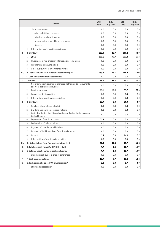| <b>Items</b> |    | <b>YTD</b><br>2021                                                                                  | Only<br><b>IIIQ 2021</b> | <b>YTD</b><br>2020 | Only<br><b>IIIQ 2020</b> |         |
|--------------|----|-----------------------------------------------------------------------------------------------------|--------------------------|--------------------|--------------------------|---------|
|              |    | b) in other parties                                                                                 | 0.0                      | 0.0                | 0.0                      | 0.0     |
|              |    | - disposal of financial assets                                                                      | 0.0                      | 0.0                | 0.0                      | 0.0     |
|              |    | - dividends and profit sharing                                                                      | 0.0                      | 0.0                | 0.0                      | 0.0     |
|              |    | - repayment of granted long-term loans                                                              | 0.0                      | 0.0                | 0.0                      | 0.0     |
|              |    | - interest                                                                                          | 0.0                      | 0.0                | 0.0                      | 0.0     |
|              | 4. | Other inflow from investment activities                                                             | 0.0                      | 0.0                | 0.0                      | 0.0     |
| н.           |    | II. Outflows                                                                                        | 133.9                    | 48.7               | 207.2                    | 58.9    |
|              | 1. | 257.3                                                                                               | 133.9                    | 48.7               | 207.2                    | 58.9    |
|              | 2. | Investment in real property. intangible and legal assets                                            | 0.0                      | 0.0                | 0.0                      | 0.0     |
|              | 3. | For financial assets. including:                                                                    | 0.0                      | 0.0                | 0.0                      | 0.0     |
|              | 4. | Other outflows from investment activities                                                           | 0.0                      | 0.0                | 0.0                      | 0.0     |
| Ш.           |    | III. Net cash flows from investment activities (I-II)                                               | $-133.9$                 | $-48.7$            | $-207.0$                 | $-58.9$ |
| c.           |    | C. Cash flows from financial activities                                                             | 0.0                      | 0.0                | 0.0                      | 0.0     |
| Ι.           |    | I. Inflows                                                                                          | 65.1                     | 41.6               | 69.7                     | 37.3    |
|              | 1. | Net inflows from issuance of shares and other capital instruments<br>and from capital contributions | 0.0                      | 0.0                | 0.0                      | 0.0     |
|              | 2. | Credits and loans                                                                                   | 65.1                     | 41.6               | 69.7                     | 37.3    |
|              | 3. | Issuance of debt securities                                                                         | 0.0                      | 0.0                | 0.0                      | 0.0     |
|              | 4. | Other inflows from financial activities                                                             | 0.0                      | 0.0                | 0.0                      | 0.0     |
| н.           |    | II. Outflows                                                                                        | 33.7                     | 0.0                | 14.0                     | 3.7     |
|              | 1. | Purchase of own shares (stocks)                                                                     | 0.0                      | 0.0                | 0.0                      | 0.0     |
|              | 2. | Dividend and payments to stockholders                                                               | 0.0                      | 0.0                | 0.0                      | 0.0     |
|              | 3. | Profit distribution liabilities other than profit distribution payments<br>to stockholders          | 0.0                      | 0.0                | 0.0                      | 0.0     |
|              | 4. | Repayment of credits and loans                                                                      | 32.4                     | 0.0                | 0.0                      | 0.0     |
|              | 5. | Redemption of debt securities                                                                       | 0.0                      | 0.0                | 0.0                      | 0.0     |
|              | 6. | Payment of other financial liabilities                                                              | 0.0                      | 0.0                | 0.0                      | 0.0     |
|              | 7. | Payment of liabilities arising from financial leases                                                | 0.0                      | 0.0                | 0.0                      | 0.0     |
|              | 8. | Interest                                                                                            | 1.4                      | 0.0                | 14.0                     | 3.7     |
|              | 9. | Other outflows from financial activities                                                            | 0.0                      | 0.0                | 0.0                      | 0.0     |
| Ш.           |    | III. Net cash flow from financial activities (I-II)                                                 | 31.4                     | 41.6               | 55.7                     | 33.6    |
| D.           |    | D. Total net cash flows (A.III+/-B.III+/-C.III)                                                     | $-4.7$                   | 1.3                | -45.7                    | $-10.7$ |
| Е.           |    | E. Balance sheet change in cash, including:                                                         | -4.7                     | 1.3                | $-45.7$                  | $-10.7$ |
|              |    | change in cash due to exchange differences                                                          | 0.0                      | 0.0                | 0.0                      | 0.0     |
| F.           |    | F. Cash opening balance                                                                             | 12.7                     | 6.7                | 49.4                     | 14.4    |
| G.           |    | G. Cash closing balance (F+/-D), including: *                                                       | 8.0                      | 8.0                | 3.7                      | 3.7     |
|              |    | of limited disposability                                                                            | 0.0                      | 0.0                | 0.0                      | 0.0     |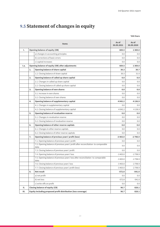## <span id="page-19-0"></span>9.5 **Statement of changes in equity**

|      |    |                                                                                           |                     | '000 Euro           |
|------|----|-------------------------------------------------------------------------------------------|---------------------|---------------------|
|      |    | <b>Items</b>                                                                              | As of<br>30.09.2021 | As of<br>30.09.2020 |
| ı.   |    | <b>Opening balance of equity (OB)</b>                                                     | 669.5               | 1369.0              |
|      |    | a) changes in accounting principles                                                       | 0.0                 | 0.0                 |
|      |    | b) corrections of basic errors                                                            | 0.0                 | 0.0                 |
|      |    | c) capital increases                                                                      | 0.0                 | 0.0                 |
| I.a. |    | Opening balance of equity (OB) after adjustments                                          | 669.5               | 1369.0              |
|      | 1. | Opening balance of share capital                                                          | 30.3                | 30.7                |
|      |    | 1.2. Closing balance of share capital                                                     | 30.3                | 31.0                |
|      | 2. | Opening balance of called up share capital                                                | 0.0                 | 0.0                 |
|      |    | 2.1. Changes in called up share capital                                                   | 0.0                 | 0.0                 |
|      |    | 2.2. Closing balance of called up share capital                                           | 0.0                 | 0.0                 |
|      | 3. | <b>Opening balance of own shares</b>                                                      | 0.0                 | 0.0                 |
|      |    | 3.1. Increase in own shares                                                               | 0.0                 | 0.0                 |
|      |    | 3.2. Closing balance of own shares                                                        | 0.0                 | 0.0                 |
|      | 4. | Opening balance of supplementary capital                                                  | 4 0 4 2.2           | 4 1 3 6 . 9         |
|      |    | 4.1. Changes in supplementary capital                                                     | 0.0                 | 0.0                 |
|      |    | 4.2. Closing balance of supplementary capital                                             | 4 0 4 2.2           | 4 1 3 6 . 9         |
|      | 5. | Opening balance of revaluation reserve                                                    | 0.0                 | 0.0                 |
|      |    | 5.1. Changes in revaluation reserve                                                       | 0.0                 | 0.0                 |
|      |    | 5.2. Closing balance of revaluation reserve                                               | 0.0                 | 0.0                 |
|      | 6. | Opening balance of other reserve capitals                                                 | 0.0                 | 0.0                 |
|      |    | 6.1. Changes in other reserve capitals                                                    | 0.0                 | 0.0                 |
|      |    | 6.2. Closing balance of other reserve capitals                                            | 0.0                 | 0.0                 |
|      | 7. | Opening balance of previous years' profit (loss)                                          | $-3403.0$           | $-2798.9$           |
|      |    | 7.1. Opening balance of previous years' profit                                            | 0.0                 | 0.0                 |
|      |    | 7.2. Opening balance of previous years' profit after reconciliation to comparable<br>data | 0.0                 | 0.0                 |
|      |    | 7.3. Closing balance of previous years' profit                                            | 0.0                 | 0.0                 |
|      |    | 7.4. Opening balance of previous years' loss                                              | $-3403.0$           | $-2798.9$           |
|      |    | 7.5. Opening balance of previous years' loss after reconciliation to comparable<br>data   | $-3403.0$           | $-2798.9$           |
|      |    | 7.6. Closing balance of previous years' loss                                              | $-3403.0$           | $-2798.9$           |
|      |    | 7.7. Closing balance of previous years' profit (loss)                                     | $-3403.0$           | $-2798.9$           |
|      | 8. | <b>Net result</b>                                                                         | $-572.8$            | $-541.0$            |
|      |    | a) net profit                                                                             | 0.0                 | 0.0                 |
|      |    | b) net loss                                                                               | $-572.8$            | $-541.0$            |
|      |    | c) write-offs on profit                                                                   | 0.0                 | 0.0                 |
| н.   |    | <b>Closing balance of equity (CB)</b>                                                     | 96.7                | 828.1               |
| Ш.   |    | Equity including proposed profit distribution (loss coverage)                             | 96.7                | 828.1               |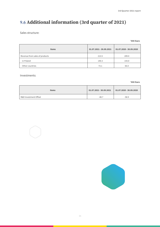## <span id="page-20-0"></span>9.6 **Additional information (3rd quarter of 2021)**

Sales structure:

**'000 Euro**

| <b>Items</b>                   | 01.07.2021 - 30.09.2021 | 01.07.2020 - 30.09.2020 |
|--------------------------------|-------------------------|-------------------------|
| Revenue from sales of products | 213.5                   | 209.0                   |
| - in Poland                    | 140.3                   | 143.0                   |
| - Other countries              | 73.1                    | 66.0                    |

Investments:

**'000 Euro**

| <b>Items</b>          | 01.07.2021 - 30.09.2021 | $01.07.2020 - 30.09.2020$ |
|-----------------------|-------------------------|---------------------------|
| R&D Investment Offset | $-48.7$                 | $-58.9$                   |



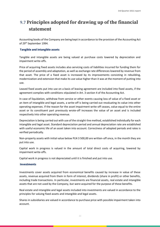## <span id="page-21-0"></span>9.7 **Principles adopted for drawing up of the financial statement**

Accounting books of the Company are being kept in accordance to the provision of the Accounting Act of 29<sup>th</sup> September 1994.

### **Tangible and intangible assets**

Tangible and intangible assets are being valued at purchase costs lowered by depreciation and impairment write-offs.

Price of acquiring fixed assets includes also servicing costs of liabilities incurred for funding them for the period of assembly and adaptation, as well as exchange rate differences lowered by revenue from that asset. The price of a fixed asset is increased by its improvements consisting in rebuilding, modernization and extension that make its use value higher than it was at the moment of putting into use.

Leased fixed assets put into use on a basis of leasing agreement are included into fixed assets, if the agreement complies with conditions stipulated in Art. 3 section 4 of the Accounting Act.

In case of liquidation, withdraw from service or other events causing loss of value of a fixed asset or an item of intangible and legal assets, a write-off is being carried out revaluating its value into other operating expenses. If the reason for the asset impairment write-off ceases, value equal to the entire asset or its constituent part previously wrote-off increases the value of an asset and is included respectively into other operating revenue.

Depreciation is being carried out with use of the straight-line method, established individually for each intangible and legal asset. Standard depreciation period and annual depreciation rate are established with useful economic life of an asset taken into account. Correctness of adopted periods and rates is verified periodically.

Non-property assets with initial value below PLN 3 500,00 are written-off once, in the month they are put into use.

Capital work in progress is valued in the amount of total direct costs of acquiring, lowered by impairment write-offs.

Capital work in progress is not depreciated until it is finished and put into use.

#### **Investments**

Investments cover assets acquired from economical benefits caused by increase in value of these assets, revenue acquired from them in form of interest, dividends (share in profit) or other benefits, including trade transactions. In particular, investments are financial assets, real estate and intangible assets that are not used by the Company, but were acquired for the purpose of these benefits.

Real estate and intangible and legal assets included into investments are valued in accordance to the principles for valuing fixed assets and intangible and legal assets.

Shares in subsidiaries are valued in accordance to purchase price with possible impairment taken into account.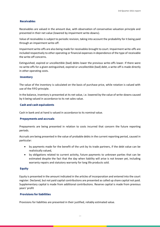### **Receivables**

Receivables are valued in the amount due, with observation of conservative valuation principle and presented in their net value (lowered by impairment write-downs).

Value of receivables is subject to periodic revision, taking into account the probability for it being paid through an impairment write-off.

Impairment write-offs are also being made for receivables brought to court. Impairment write-offs are included respectively to other operating or financial expenses in dependence of the type of receivable the write-off concerns.

Extinguished, expired or uncollectible (bad) debts lower the previous write-offs lower. If there were no write-offs for a given extinguished, expired or uncollectible (bad) debt, a write-off is made directly in other operating costs.

#### **Inventory**

The value of the inventory is calculated on the basis of purchase price, while rotation is valued with use of the FIFO principle.

In the balance, inventory is presented at its net value, i.e. lowered by the value of write-downs caused by it being valued in accordance to its net sales value.

### **Cash and cash equivalents**

Cash in bank and at hand is valued in accordance to its nominal value.

#### **Prepayments and accruals**

Prepayments are being presented in relation to costs incurred that concern the future reporting periods.

Accruals are being presented in the value of probable debts in the current reporting period, caused in particular:

- by payments made for the benefit of the unit by its trade partners, if the debt value can be realistically valued,
- by obligations related to current activity, future payments to unknown parties that can be estimated despite the fact that the day when liability will arise is not known yet, including warranty repairs and statutory warranty for long life products sold.

#### **Equity**

Equity is presented in the amount indicated in the articles of incorporation and entered into the court register. Declared, but not paid capital contributions are presented as called up share capital not paid. Supplementary capital is made from additional contributions. Reserve capital is made from previous years' profit

### **Provisions for liabilities**

Provisions for liabilities are presented in their justified, reliably estimated value.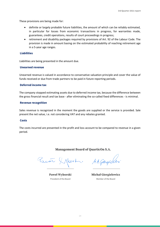These provisions are being made for:

- definite or largely probable future liabilities, the amount of which can be reliably estimated, in particular for losses from economic transactions in progress, for warranties made, guarantees, credit operations, results of court proceedings in progress;
- retirement and disability packages required by provisions of Art. 92 of the Labour Code. The provision is made in amount basing on the estimated probability of reaching retirement age in a 5-year age ranges.

#### **Liabilities**

Liabilities are being presented in the amount due.

#### **Unearned revenue**

Unearned revenue is valued in accordance to conservative valuation principle and cover the value of funds received or due from trade partners to be paid in future reporting periods.

#### **Deferred income tax**

The company stopped estimating assets due to deferred income tax, because the difference between the gross financial result and tax base - after eliminating the so-called fixed differences - is minimal.

#### **Revenue recognition**

Sales revenue is recognized in the moment the goods are supplied or the service is provided. Sale present the net value, i.e. not considering VAT and any rebates granted.

#### **Costs**

The costs incurred are presented in the profit and loss account to be compared to revenue in a given period.

### **Management Board of QuarticOn S.A.**

Paré Mort. Magichi

**Paweł Wyborski** President of the Board

**Michał Giergielewicz** Member of the Board